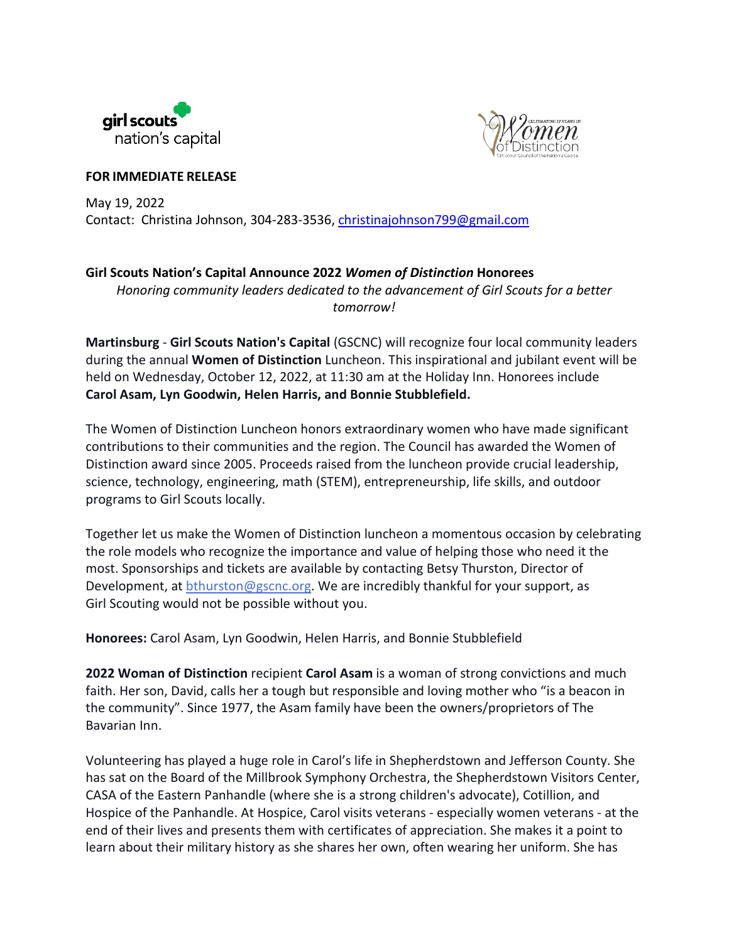



**FOR IMMEDIATE RELEASE**

May 19, 2022 Contact: Christina Johnson, 304-283-3536, [christinajohnson799@gmail.com](mailto:christinajohnson799@gmail.com)

## **Girl Scouts Nation's Capital Announce 2022** *Women of Distinction* **Honorees**

*Honoring community leaders dedicated to the advancement of Girl Scouts for a better tomorrow!*

**Martinsburg** - **Girl Scouts Nation's Capital** (GSCNC) will recognize four local community leaders during the annual **Women of Distinction** Luncheon. This inspirational and jubilant event will be held on Wednesday, October 12, 2022, at 11:30 am at the Holiday Inn. Honorees include **Carol Asam, Lyn Goodwin, Helen Harris, and Bonnie Stubblefield.**

The Women of Distinction Luncheon honors extraordinary women who have made significant contributions to their communities and the region. The Council has awarded the Women of Distinction award since 2005. Proceeds raised from the luncheon provide crucial leadership, science, technology, engineering, math (STEM), entrepreneurship, life skills, and outdoor programs to Girl Scouts locally.

Together let us make the Women of Distinction luncheon a momentous occasion by celebrating the role models who recognize the importance and value of helping those who need it the most. Sponsorships and tickets are available by contacting Betsy Thurston, Director of Development, at [bthurston@gscnc.org.](mailto:bthurston@gscnc.org) We are incredibly thankful for your support, as Girl Scouting would not be possible without you.

**Honorees:** Carol Asam, Lyn Goodwin, Helen Harris, and Bonnie Stubblefield

**2022 Woman of Distinction** recipient **Carol Asam** is a woman of strong convictions and much faith. Her son, David, calls her a tough but responsible and loving mother who "is a beacon in the community". Since 1977, the Asam family have been the owners/proprietors of The Bavarian Inn.

Volunteering has played a huge role in Carol's life in Shepherdstown and Jefferson County. She has sat on the Board of the Millbrook Symphony Orchestra, the Shepherdstown Visitors Center, CASA of the Eastern Panhandle (where she is a strong children's advocate), Cotillion, and Hospice of the Panhandle. At Hospice, Carol visits veterans - especially women veterans - at the end of their lives and presents them with certificates of appreciation. She makes it a point to learn about their military history as she shares her own, often wearing her uniform. She has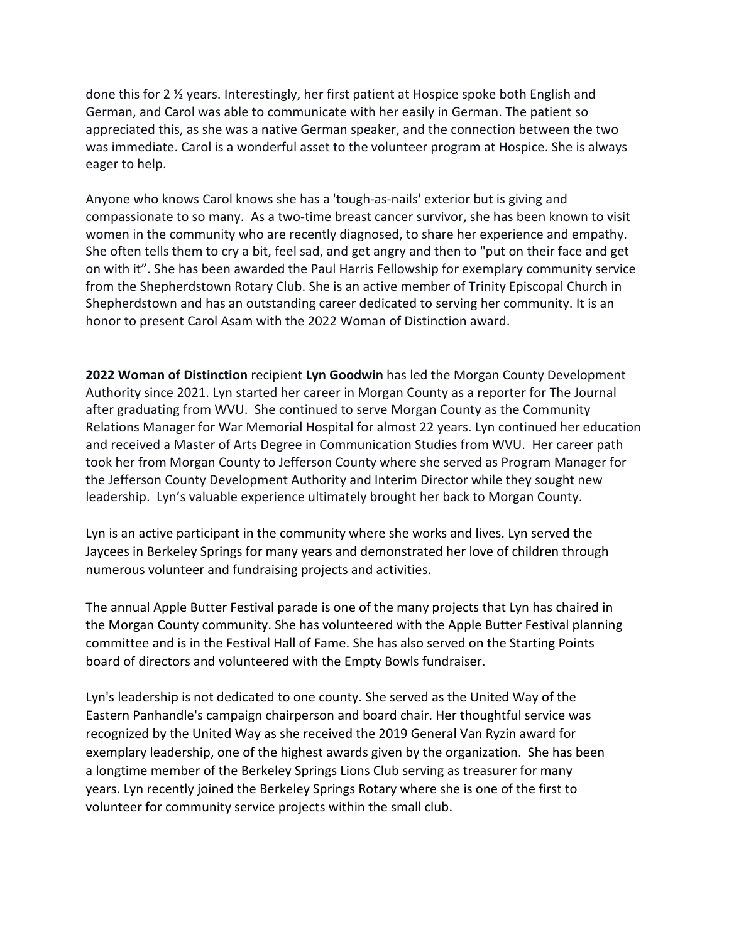done this for 2 ½ years. Interestingly, her first patient at Hospice spoke both English and German, and Carol was able to communicate with her easily in German. The patient so appreciated this, as she was a native German speaker, and the connection between the two was immediate. Carol is a wonderful asset to the volunteer program at Hospice. She is always eager to help.

Anyone who knows Carol knows she has a 'tough-as-nails' exterior but is giving and compassionate to so many. As a two-time breast cancer survivor, she has been known to visit women in the community who are recently diagnosed, to share her experience and empathy. She often tells them to cry a bit, feel sad, and get angry and then to "put on their face and get on with it". She has been awarded the Paul Harris Fellowship for exemplary community service from the Shepherdstown Rotary Club. She is an active member of Trinity Episcopal Church in Shepherdstown and has an outstanding career dedicated to serving her community. It is an honor to present Carol Asam with the 2022 Woman of Distinction award.

**2022 Woman of Distinction** recipient **Lyn Goodwin** has led the Morgan County Development Authority since 2021. Lyn started her career in Morgan County as a reporter for The Journal after graduating from WVU. She continued to serve Morgan County as the Community Relations Manager for War Memorial Hospital for almost 22 years. Lyn continued her education and received a Master of Arts Degree in Communication Studies from WVU. Her career path took her from Morgan County to Jefferson County where she served as Program Manager for the Jefferson County Development Authority and Interim Director while they sought new leadership. Lyn's valuable experience ultimately brought her back to Morgan County.

Lyn is an active participant in the community where she works and lives. Lyn served the Jaycees in Berkeley Springs for many years and demonstrated her love of children through numerous volunteer and fundraising projects and activities.

The annual Apple Butter Festival parade is one of the many projects that Lyn has chaired in the Morgan County community. She has volunteered with the Apple Butter Festival planning committee and is in the Festival Hall of Fame. She has also served on the Starting Points board of directors and volunteered with the Empty Bowls fundraiser.

Lyn's leadership is not dedicated to one county. She served as the United Way of the Eastern Panhandle's campaign chairperson and board chair. Her thoughtful service was recognized by the United Way as she received the 2019 General Van Ryzin award for exemplary leadership, one of the highest awards given by the organization. She has been a longtime member of the Berkeley Springs Lions Club serving as treasurer for many years. Lyn recently joined the Berkeley Springs Rotary where she is one of the first to volunteer for community service projects within the small club.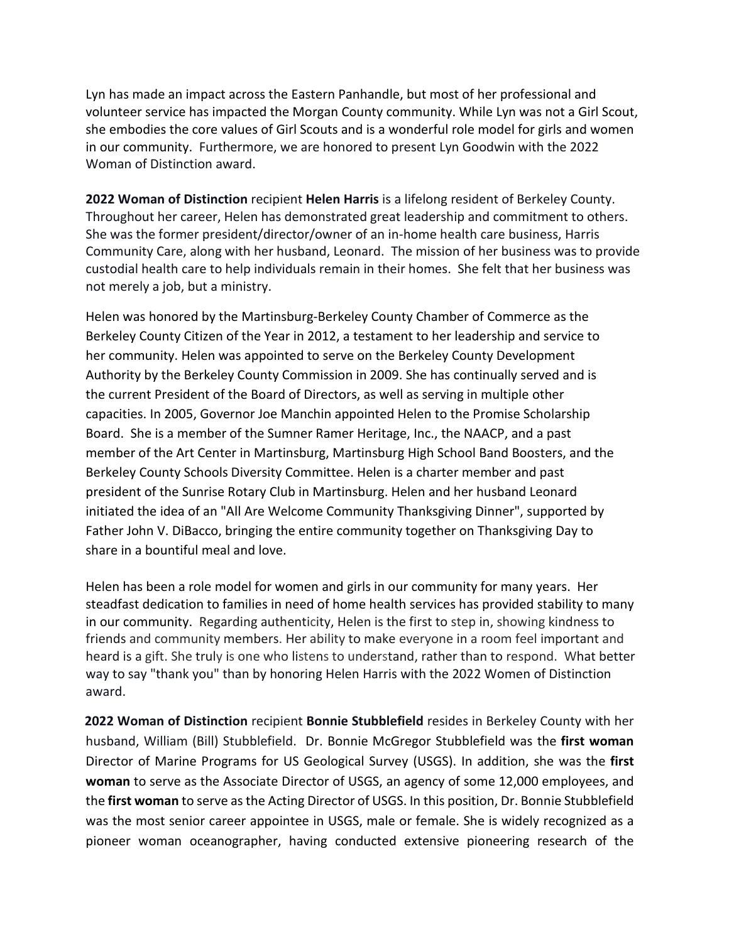Lyn has made an impact across the Eastern Panhandle, but most of her professional and volunteer service has impacted the Morgan County community. While Lyn was not a Girl Scout, she embodies the core values of Girl Scouts and is a wonderful role model for girls and women in our community. Furthermore, we are honored to present Lyn Goodwin with the 2022 Woman of Distinction award.

**2022 Woman of Distinction** recipient **Helen Harris** is a lifelong resident of Berkeley County. Throughout her career, Helen has demonstrated great leadership and commitment to others. She was the former president/director/owner of an in-home health care business, Harris Community Care, along with her husband, Leonard. The mission of her business was to provide custodial health care to help individuals remain in their homes. She felt that her business was not merely a job, but a ministry.

Helen was honored by the Martinsburg-Berkeley County Chamber of Commerce as the Berkeley County Citizen of the Year in 2012, a testament to her leadership and service to her community. Helen was appointed to serve on the Berkeley County Development Authority by the Berkeley County Commission in 2009. She has continually served and is the current President of the Board of Directors, as well as serving in multiple other capacities. In 2005, Governor Joe Manchin appointed Helen to the Promise Scholarship Board. She is a member of the Sumner Ramer Heritage, Inc., the NAACP, and a past member of the Art Center in Martinsburg, Martinsburg High School Band Boosters, and the Berkeley County Schools Diversity Committee. Helen is a charter member and past president of the Sunrise Rotary Club in Martinsburg. Helen and her husband Leonard initiated the idea of an "All Are Welcome Community Thanksgiving Dinner", supported by Father John V. DiBacco, bringing the entire community together on Thanksgiving Day to share in a bountiful meal and love.

Helen has been a role model for women and girls in our community for many years. Her steadfast dedication to families in need of home health services has provided stability to many in our community. Regarding authenticity, Helen is the first to step in, showing kindness to friends and community members. Her ability to make everyone in a room feel important and heard is a gift. She truly is one who listens to understand, rather than to respond. What better way to say "thank you" than by honoring Helen Harris with the 2022 Women of Distinction award.

**2022 Woman of Distinction** recipient **Bonnie Stubblefield** resides in Berkeley County with her husband, William (Bill) Stubblefield. Dr. Bonnie McGregor Stubblefield was the **first woman**  Director of Marine Programs for US Geological Survey (USGS). In addition, she was the **first woman** to serve as the Associate Director of USGS, an agency of some 12,000 employees, and the **first woman** to serve as the Acting Director of USGS. In this position, Dr. Bonnie Stubblefield was the most senior career appointee in USGS, male or female. She is widely recognized as a pioneer woman oceanographer, having conducted extensive pioneering research of the